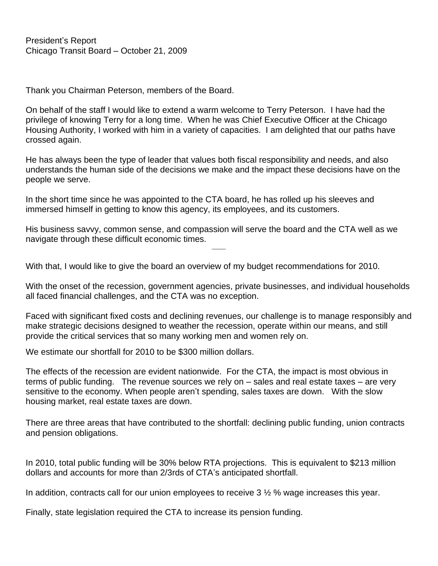Thank you Chairman Peterson, members of the Board.

On behalf of the staff I would like to extend a warm welcome to Terry Peterson. I have had the privilege of knowing Terry for a long time. When he was Chief Executive Officer at the Chicago Housing Authority, I worked with him in a variety of capacities. I am delighted that our paths have crossed again.

He has always been the type of leader that values both fiscal responsibility and needs, and also understands the human side of the decisions we make and the impact these decisions have on the people we serve.

In the short time since he was appointed to the CTA board, he has rolled up his sleeves and immersed himself in getting to know this agency, its employees, and its customers.

His business savvy, common sense, and compassion will serve the board and the CTA well as we navigate through these difficult economic times.

With that, I would like to give the board an overview of my budget recommendations for 2010.

With the onset of the recession, government agencies, private businesses, and individual households all faced financial challenges, and the CTA was no exception.

 $\overline{\phantom{a}}$ 

Faced with significant fixed costs and declining revenues, our challenge is to manage responsibly and make strategic decisions designed to weather the recession, operate within our means, and still provide the critical services that so many working men and women rely on.

We estimate our shortfall for 2010 to be \$300 million dollars.

The effects of the recession are evident nationwide. For the CTA, the impact is most obvious in terms of public funding. The revenue sources we rely on – sales and real estate taxes – are very sensitive to the economy. When people aren't spending, sales taxes are down. With the slow housing market, real estate taxes are down.

There are three areas that have contributed to the shortfall: declining public funding, union contracts and pension obligations.

In 2010, total public funding will be 30% below RTA projections. This is equivalent to \$213 million dollars and accounts for more than 2/3rds of CTA's anticipated shortfall.

In addition, contracts call for our union employees to receive 3 ½ % wage increases this year.

Finally, state legislation required the CTA to increase its pension funding.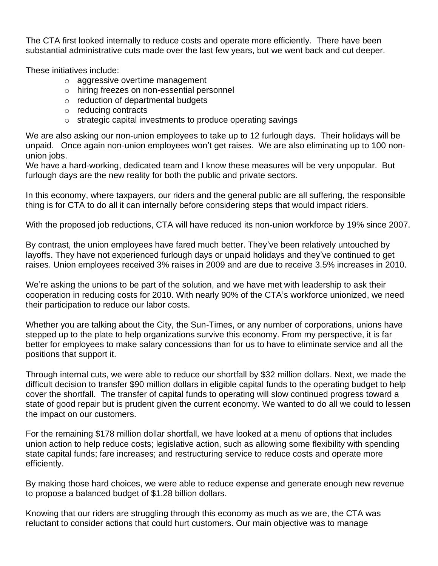The CTA first looked internally to reduce costs and operate more efficiently. There have been substantial administrative cuts made over the last few years, but we went back and cut deeper.

These initiatives include:

- o aggressive overtime management
- o hiring freezes on non-essential personnel
- o reduction of departmental budgets
- o reducing contracts
- o strategic capital investments to produce operating savings

We are also asking our non-union employees to take up to 12 furlough days. Their holidays will be unpaid. Once again non-union employees won't get raises. We are also eliminating up to 100 nonunion jobs.

We have a hard-working, dedicated team and I know these measures will be very unpopular. But furlough days are the new reality for both the public and private sectors.

In this economy, where taxpayers, our riders and the general public are all suffering, the responsible thing is for CTA to do all it can internally before considering steps that would impact riders.

With the proposed job reductions, CTA will have reduced its non-union workforce by 19% since 2007.

By contrast, the union employees have fared much better. They've been relatively untouched by layoffs. They have not experienced furlough days or unpaid holidays and they've continued to get raises. Union employees received 3% raises in 2009 and are due to receive 3.5% increases in 2010.

We're asking the unions to be part of the solution, and we have met with leadership to ask their cooperation in reducing costs for 2010. With nearly 90% of the CTA's workforce unionized, we need their participation to reduce our labor costs.

Whether you are talking about the City, the Sun-Times, or any number of corporations, unions have stepped up to the plate to help organizations survive this economy. From my perspective, it is far better for employees to make salary concessions than for us to have to eliminate service and all the positions that support it.

Through internal cuts, we were able to reduce our shortfall by \$32 million dollars. Next, we made the difficult decision to transfer \$90 million dollars in eligible capital funds to the operating budget to help cover the shortfall. The transfer of capital funds to operating will slow continued progress toward a state of good repair but is prudent given the current economy. We wanted to do all we could to lessen the impact on our customers.

For the remaining \$178 million dollar shortfall, we have looked at a menu of options that includes union action to help reduce costs; legislative action, such as allowing some flexibility with spending state capital funds; fare increases; and restructuring service to reduce costs and operate more efficiently.

By making those hard choices, we were able to reduce expense and generate enough new revenue to propose a balanced budget of \$1.28 billion dollars.

Knowing that our riders are struggling through this economy as much as we are, the CTA was reluctant to consider actions that could hurt customers. Our main objective was to manage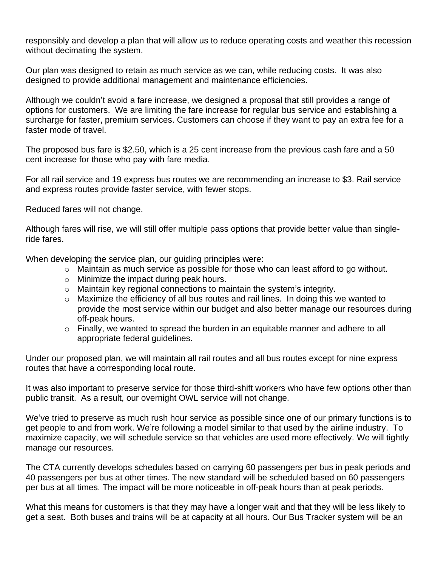responsibly and develop a plan that will allow us to reduce operating costs and weather this recession without decimating the system.

Our plan was designed to retain as much service as we can, while reducing costs. It was also designed to provide additional management and maintenance efficiencies.

Although we couldn't avoid a fare increase, we designed a proposal that still provides a range of options for customers. We are limiting the fare increase for regular bus service and establishing a surcharge for faster, premium services. Customers can choose if they want to pay an extra fee for a faster mode of travel.

The proposed bus fare is \$2.50, which is a 25 cent increase from the previous cash fare and a 50 cent increase for those who pay with fare media.

For all rail service and 19 express bus routes we are recommending an increase to \$3. Rail service and express routes provide faster service, with fewer stops.

Reduced fares will not change.

Although fares will rise, we will still offer multiple pass options that provide better value than singleride fares.

When developing the service plan, our guiding principles were:

- o Maintain as much service as possible for those who can least afford to go without.
- o Minimize the impact during peak hours.
- $\circ$  Maintain key regional connections to maintain the system's integrity.
- o Maximize the efficiency of all bus routes and rail lines. In doing this we wanted to provide the most service within our budget and also better manage our resources during off-peak hours.
- $\circ$  Finally, we wanted to spread the burden in an equitable manner and adhere to all appropriate federal guidelines.

Under our proposed plan, we will maintain all rail routes and all bus routes except for nine express routes that have a corresponding local route.

It was also important to preserve service for those third-shift workers who have few options other than public transit. As a result, our overnight OWL service will not change.

We've tried to preserve as much rush hour service as possible since one of our primary functions is to get people to and from work. We're following a model similar to that used by the airline industry. To maximize capacity, we will schedule service so that vehicles are used more effectively. We will tightly manage our resources.

The CTA currently develops schedules based on carrying 60 passengers per bus in peak periods and 40 passengers per bus at other times. The new standard will be scheduled based on 60 passengers per bus at all times. The impact will be more noticeable in off-peak hours than at peak periods.

What this means for customers is that they may have a longer wait and that they will be less likely to get a seat. Both buses and trains will be at capacity at all hours. Our Bus Tracker system will be an